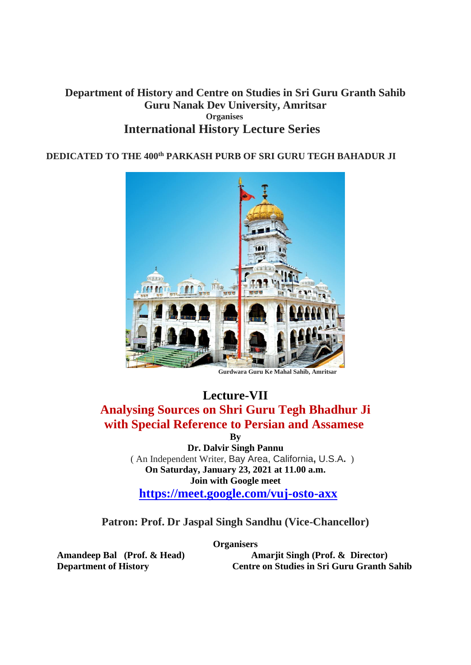#### **Department of History and Centre on Studies in Sri Guru Granth Sahib Guru Nanak Dev University, Amritsar Organises International History Lecture Series**

#### **DEDICATED TO THE 400th PARKASH PURB OF SRI GURU TEGH BAHADUR JI**



 **Gurdwara Guru Ke Mahal Sahib, Amritsar**

# **Lecture-VII**

### **Analysing Sources on Shri Guru Tegh Bhadhur Ji with Special Reference to Persian and Assamese**

**By**

**Dr. Dalvir Singh Pannu** ( An Independent Writer, Bay Area, California**,** U.S.A**.** ) **On Saturday, January 23, 2021 at 11.00 a.m. Join with Google meet <https://meet.google.com/vuj-osto-axx>**

**Patron: Prof. Dr Jaspal Singh Sandhu (Vice-Chancellor)**

**Organisers**

Amandeep Bal (Prof. & Head) **Amarjit Singh (Prof. & Director) Department of History Centre on Studies in Sri Guru Granth Sahib**